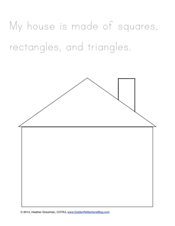My house is made of squares, rectangles, and triangles.

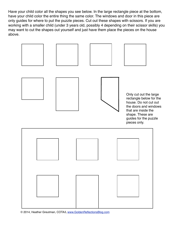Have your child color all the shapes you see below. In the large rectangle piece at the bottom, have your child color the entire thing the same color. The windows and door in this piece are only guides for where to put the puzzle pieces. Cut out these shapes with scissors. If you are working with a smaller child (under 3 years old, possibly 4 depending on their scissor skills) you may want to cut the shapes out yourself and just have them place the pieces on the house above.



© 2014, Heather Greutman, COTA/L [www.GoldenReflectionsBlog.com](http://www.GoldenReflectionsBlog.com)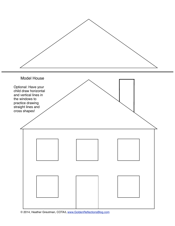

© 2014, Heather Greutman, COTA/L [www.GoldenReflectionsBlog.com](http://www.GoldenReflectionsBlog.com)